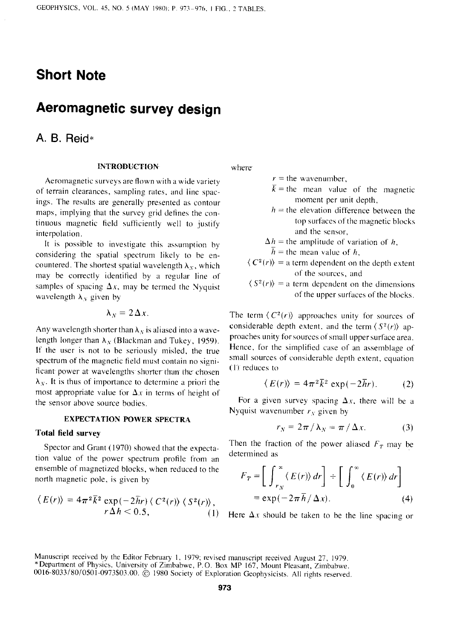# **Short Note**

# **Aeromagnetic survey design**

# **A. 6. Reid\***

### **INTRODUCTION**

**Aeromagnetic surveys are flown with a wide variety of terrain clearances. sampling rates, and line spacings. The results are generally presented as contour maps, implying that the survey grid defines the continuous magnetic field sufficiently well to justiiy ' interpolation.** 

**It is possible to investigate this assumption by considering the spatial spectrum likely to be en**countered. The shortest spatial wavelength  $\lambda_X$ , which **may be correctly identified by a regular line of**  samples of spacing  $\Delta x$ , may be termed the Nyquist wavelength  $\lambda_y$  given by

$$
\lambda_N=2\,\Delta x.
$$

Any wavelength shorter than  $\lambda_N$  is aliased into a wavelength longer than  $\lambda_N$  (Blackman and Tukey, 1959). **If the user is not to be seriously misled, the true spectrum of the magnetic field must contain no signi**ficant power at wavelengths shorter than the chosen  $\lambda_N$ . It is thus of importance to determine a priori the most appropriate value for  $\Delta x$  in terms of height of **the sensor above source bodies.** 

## **EXPECTATION POWER SPECTRA**

#### **Total field survey**

**Spector and Grant (1970) showed that the expectation value of the power spectrum profile from an ensemble of magnetized blocks, when reduced to the north magnetic pole. is given by** 

$$
\langle E(r) \rangle = 4\pi^2 \overline{k}^2 \exp(-2\overline{h}r) \langle C^2(r) \rangle \langle S^2(r) \rangle, \nr \Delta h < 0.5,
$$
\n(1)

where

- $r =$  the wavenumber,
- $\bar{k}$  = the mean value of the magnetic **moment per unit depth,**
- $h =$  the elevation difference between the **top surfaces of the magnetic blocks and the sensor,**
- $\Delta h$  = the amplitude of variation of *h*,
- $\overline{h}$  = the mean value of *h*,
- $\langle C^2(r) \rangle$  = a term dependent on the depth extent **of the sources, and**
- $\langle S^2(r) \rangle = a$  term dependent on the dimensions of the upper surfaces of the blocks.

The term  $\langle C^2(r) \rangle$  approaches unity for sources of considerable depth extent, and the term  $\langle S^2(r) \rangle$  ap**proaches unity for sources of small upper surface area. Hence. for the simplified case of an assemblage of small Sources of considerable depth extent, equation ( i J reduces to** 

$$
\langle E(r) \rangle = 4\pi^2 \bar{k}^2 \exp(-2\bar{h}r). \tag{2}
$$

For a given survey spacing  $\Delta x$ , there will be a Nyquist wavenumber  $r<sub>X</sub>$  given by

$$
r_N = 2\pi / \lambda_N = \pi / \Delta x. \tag{3}
$$

Then the fraction of the power aliased  $F<sub>T</sub>$  may be **determined as** 

$$
F_T = \left[ \int_{r_N}^{\infty} \langle E(r) \rangle dr \right] \div \left[ \int_0^{\infty} \langle E(r) \rangle dr \right]
$$
  
=  $\exp(-2\pi \overline{h}/\Delta x).$  (4)

Here  $\Delta x$  should be taken to be the line spacing or

**Manuscript received by the Editor February 1, 1979; revised manuscript received August 27, 1979. \*Department of Physics, University of Zimbabwe, P. 0. Box MP 167, Mount Pleasant, Zimbabwe. 0016.8033/80/0501-0973\$03.00. @ 1980 Society of Exploration Geophysicists. All rights reserved**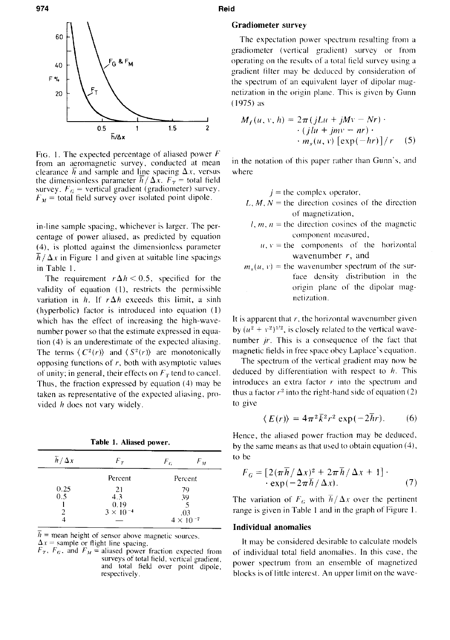

**FIG. I. The expected percentage of aliased power F**  from an aeromagnetic survey, conducted at mean clearance  $\overline{h}$  and sample and line spacing  $\Delta x$ , versus the dimensionless parameter  $\overline{h}/\Delta x$ .  $F_T$  = total field survey.  $F_G$  = vertical gradient (gradiometer) survey.  $F<sub>M</sub>$  = total field survey over isolated point dipole.

**in-line sample spacing, whichever is larger. The percentage of power aliased, as predicted by equation (4). is plotted against the dimensionless parameter**   $\overline{h}/\Delta x$  in Figure 1 and given at suitable line spacings **in Table I** 

The requirement  $r \Delta h < 0.5$ , specified for the **validity of equation (I), restricts the permissible**  variation in  $h$ . If  $r \Delta h$  exceeds this limit, a sinh **(hyperbolic) factor is introduced into equation (I) which has the effect of increasing the hiph-wavenumber power so that the estimate expressed in equation (4) is an underestimate of the expected aliasing.**  The terms  $\langle C^2(r) \rangle$  and  $\langle S^2(r) \rangle$  are monotonically **opposing functions of r, both with asymptotic values**  of unity; in general, their effects on  $F<sub>T</sub>$  tend to cancel. Thus, the fraction expressed by equation  $(4)$  may be **taken as representative of the expected aliasing, provided h does not vary widely.** 

**Table 1. Aliased power.** 

| $\overline{h}/\Delta x$ | $F_{\,r}$          | $F_G$                              | $F_M$ |
|-------------------------|--------------------|------------------------------------|-------|
|                         | Percent            | Percent                            |       |
| 0.25                    | 21                 | 79                                 |       |
| 0.5                     | 4.3                | 39                                 |       |
|                         | 0.19               |                                    |       |
|                         | $3 \times 10^{-4}$ | .03<br>4 $\times$ 10 <sup>-7</sup> |       |
|                         |                    |                                    |       |

 $\overline{h}$  = mean height of sensor above magnetic sources.  $\Delta x$  = sample or flight line spacing.

 $F_T$ ,  $F_G$ , and  $F_M$  = aliased power fraction expected from surveys of total field, vertical gradient. and total field over point dipole,<br>**respectively** 

#### **974 Reid**

# **Gradiometer survey**

**The expectation power spectrum resulting from a**  gradiometer (vertical gradient) survey or from **operating on the results of a total field survey using a gradient filter may be deduced by consideration of the spectrum of an equivalent layer of dipolar magnetization in the origin plane. This is given by Gunn (1975) as** 

$$
M_f(u, v, h) = 2\pi (jLu + jMv - Nr) \cdot
$$
  
. 
$$
\cdot (jlu + jmv - nr) \cdot
$$
  
. 
$$
m_s(u, v) [\exp(-hr)]/r
$$
 (5)

in the notation of this paper rather than Gunn's, and **where** 

 $j =$  the complex operator,

- $L, M, N$  = the direction cosines of the direction of magnetization,
- $l, m, n =$  the direction cosines of the magnetic **component measured,** 
	- $u, v$  = the components of the horizontal **wavenumber r, and**
- $m<sub>s</sub>(u, v)$  = the wavenumber spectrum of the sur**face density distribution in the origin plant of the dipolar magnetization.**

It is apparent that  $r$ , the horizontal wavenumber given by  $(u^2 + v^2)^{1/2}$ , is closely related to the vertical wavenumber *jr*. This is a consequence of the fact that **magnetic fields in free space obey Laplace's equation.** 

**The spectrum of the vertical gradient may now be deduced by differentiation with respect to h. This**   $introduces$  an extra factor  $r$  into the spectrum and thus a factor  $r^2$  into the right-hand side of equation (2) **to give** 

$$
\langle E(r) \rangle = 4\pi^2 \bar{k}^2 r^2 \exp(-2\bar{h}r). \qquad (6)
$$

**Hence, the aliased power fraction may be deduced.**  by the same means as that used to obtain equation (4), **to be** 

$$
F_G = \left[2(\pi \overline{h}/\Delta x)^2 + 2\pi \overline{h}/\Delta x + 1\right] \cdot \exp(-2\pi \overline{h}/\Delta x). \tag{7}
$$

The variation of  $F_G$  with  $\overline{h}/\Delta x$  over the pertinent **range is given in Table I and in the graph of Figure I.** 

## **Individual anomalies**

**It may be considered desirable to calculate models of individual total field anomalies. In this case. the**  power spectrum from an ensemble of magnetized respectively. **blocks is of little interest.** An upper limit on the wave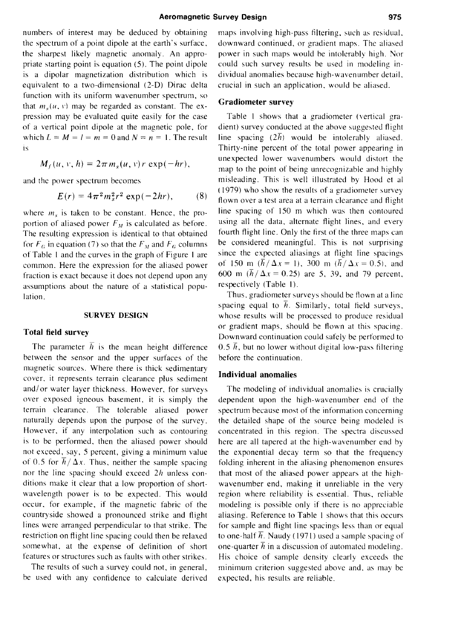**numbers of interest may be deduced by obtaimng**  the spectrum of a point dipole at the earth's surface, **the sharpest likely magnetic anomaly. An appropriate starting point is equation (5). The point dipole is a dipolar magnetization distribution which is equivalent to a two-dimensional (2-D) Dirac delta function with its uniform wavenumber spectrum, so**  that  $m_s(u, v)$  may be regarded as constant. The ex**pression may be evaluated quite easily for the case of a vertical point dipole at the magnetic pole, for**  which  $L = M = l = m = 0$  and  $N = n = 1$ . The result **IS** 

$$
M_f(u, v, h) = 2\pi m_s(u, v) r \exp(-hr),
$$

**and the power spectrum becomes** 

$$
E(r) = 4\pi^2 m_s^2 r^2 \exp(-2hr), \qquad (8)
$$

where  $m<sub>s</sub>$  is taken to be constant. Hence, the proportion of aliased power  $F<sub>M</sub>$  is calculated as before. **The resulting expression is identical to that obtained**  for  $F_G$  in equation (7) so that the  $F_M$  and  $F_G$  columns **of Table I and the curves in the graph of Figure I are common. Here the expression for the aliased power fraction is exact because it does not depend upon any assumptions about the nature of a statistical population.** 

#### **SURVEY DESIGN**

#### **Total field survey**

The parameter  $\overline{h}$  is the mean height difference **between the sensor and the upper surfaces of the magnetic sources. Where there is thick sedimentary cover, it represents terrain clearance plus sediment and/or water layer thickness. However, for surveys over exposed igneous basement, it is simply the terrain clearance. The tolerable aliased power naturally depends upon the purpose of the survey. However, if any interpolation such as contouring is to be performed, then the aliased power should not exceed, say, 5 percent, giving a minimum value**  of 0.5 for  $\overline{h}/\Delta x$ . Thus, neither the sample spacing nor the line spacing should exceed 2h unless con**ditions make it clear that a low proportion of shortwavelength power is to be expected. This would occur. for example, if the magnetic fabric of the countryside showed a pronounced strike and flight lines were arranged perpendicular to that strike. The restriction on flight line spacing could then be relaxed somewhat, at the expense of definition of short features or structures such as faults with other strikes,** 

**The results of such a survey could not, in general, be used with any confidence to calculate derived**  **maps involving high-pass tiltering. such as restdual. downward continued, or gradient maps. The aliased**  power in such maps would be intolerably high. Nor **could such survey results be used in modeling individual anomalies because high-wavenumber detail. crucial in such an application. would be aliased.** 

#### **Gradiometer survey**

**Table I shows that a pradiometer (vertical gradient) survey conducted at the above suggested flight**  line spacing  $(2\bar{h})$  would be intolerably aliased. **Thirty-nine percent of the total power appearing in unexpected lower wavenumbers would distort the map to the point of being unrecognizable and highly misleading. This is well illustrated by Hood et al**   $(1979)$  who show the results of a gradiometer survey flown over a test area at a terrain clearance and flight **line spacing of IS0 m which was then contoured using all the data, alternate flight lines, and every fourth flight line. Only the first of the three maps can be considered meaningful. This is not surprising since the expected aliasings at flight line spacings**  of 150 m  $(\bar{h}/\Delta x = 1)$ , 300 m  $(\bar{h}/\Delta x = 0.5)$ , and 600 m  $(\bar{h}/\Delta x = 0.25)$  are 5, 39, and 79 percent, respectively (Table 1).

**Thus, grddiometer surveys should be flown at a line**  spacing equal to  $\bar{h}$ . Similarly, total field surveys, **whose results will be processed to produce residual or gradient maps. should be flown at this spacing. Downward continuation could safely be performed to**   $0.5 \bar{h}$ , but no lower without digital low-pass filtering **before the continuation.** 

### **Individual anomalies**

**The modeling of individual anomalies is crucially dependent upon the high-wavenumber end of the spectrum because most of the information concerning the detailed shape of the source beins modeled is concentrated in this region. The spectra discussed here are all tapered at the high-wavenumber end by the exponential decay term so that the frequency folding inherent in the aliasing phenomenon ensures that most of the aliased power appears at the highwavenumber end, making it unreliable in the very region where reliability is essential. Thus. reliable**  modeling is possible only if there is no appreciable **aliasing. Reference to Table I shows that this occurs for sample and flight line spacings less than or equal to one-half**  $\overline{h}$ **. Naudy (1971) used a sample spacing of** one-quarter  $\overline{h}$  in a discussion of automated modeling. **His choice of sample density clearly exceeds the minimum criterion suggested above and. as may be expected, his results are reliable.**